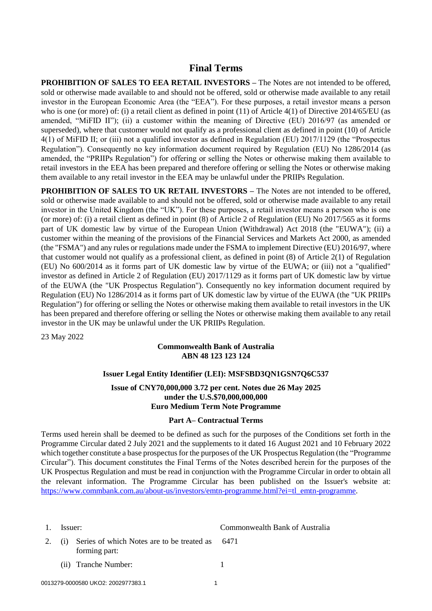# **Final Terms**

**PROHIBITION OF SALES TO EEA RETAIL INVESTORS –** The Notes are not intended to be offered, sold or otherwise made available to and should not be offered, sold or otherwise made available to any retail investor in the European Economic Area (the "EEA"). For these purposes, a retail investor means a person who is one (or more) of: (i) a retail client as defined in point (11) of Article 4(1) of Directive 2014/65/EU (as amended, "MiFID II"); (ii) a customer within the meaning of Directive (EU) 2016/97 (as amended or superseded), where that customer would not qualify as a professional client as defined in point (10) of Article 4(1) of MiFID II; or (iii) not a qualified investor as defined in Regulation (EU) 2017/1129 (the "Prospectus Regulation"). Consequently no key information document required by Regulation (EU) No 1286/2014 (as amended, the "PRIIPs Regulation") for offering or selling the Notes or otherwise making them available to retail investors in the EEA has been prepared and therefore offering or selling the Notes or otherwise making them available to any retail investor in the EEA may be unlawful under the PRIIPs Regulation.

**PROHIBITION OF SALES TO UK RETAIL INVESTORS –** The Notes are not intended to be offered, sold or otherwise made available to and should not be offered, sold or otherwise made available to any retail investor in the United Kingdom (the "UK"). For these purposes, a retail investor means a person who is one (or more) of: (i) a retail client as defined in point (8) of Article 2 of Regulation (EU) No 2017/565 as it forms part of UK domestic law by virtue of the European Union (Withdrawal) Act 2018 (the "EUWA"); (ii) a customer within the meaning of the provisions of the Financial Services and Markets Act 2000, as amended (the "FSMA") and any rules or regulations made under the FSMA to implement Directive (EU) 2016/97, where that customer would not qualify as a professional client, as defined in point (8) of Article 2(1) of Regulation (EU) No 600/2014 as it forms part of UK domestic law by virtue of the EUWA; or (iii) not a "qualified" investor as defined in Article 2 of Regulation (EU) 2017/1129 as it forms part of UK domestic law by virtue of the EUWA (the "UK Prospectus Regulation"). Consequently no key information document required by Regulation (EU) No 1286/2014 as it forms part of UK domestic law by virtue of the EUWA (the "UK PRIIPs Regulation") for offering or selling the Notes or otherwise making them available to retail investors in the UK has been prepared and therefore offering or selling the Notes or otherwise making them available to any retail investor in the UK may be unlawful under the UK PRIIPs Regulation.

23 May 2022

### **Commonwealth Bank of Australia ABN 48 123 123 124**

### **Issuer Legal Entity Identifier (LEI): MSFSBD3QN1GSN7Q6C537**

### **Issue of CNY70,000,000 3.72 per cent. Notes due 26 May 2025 under the U.S.\$70,000,000,000 Euro Medium Term Note Programme**

### **Part A– Contractual Terms**

Terms used herein shall be deemed to be defined as such for the purposes of the Conditions set forth in the Programme Circular dated 2 July 2021 and the supplements to it dated 16 August 2021 and 10 February 2022 which together constitute a base prospectus for the purposes of the UK Prospectus Regulation (the "Programme Circular"). This document constitutes the Final Terms of the Notes described herein for the purposes of the UK Prospectus Regulation and must be read in conjunction with the Programme Circular in order to obtain all the relevant information. The Programme Circular has been published on the Issuer's website at: [https://www.commbank.com.au/about-us/investors/emtn-programme.html?ei=tl\\_emtn-programme.](https://www.commbank.com.au/about-us/investors/emtn-programme.html?ei=tl_emtn-programme)

| 1. Issuer: |                                                                         | Commonwealth Bank of Australia |
|------------|-------------------------------------------------------------------------|--------------------------------|
|            | 2. (i) Series of which Notes are to be treated as 6471<br>forming part: |                                |
|            | (ii) Tranche Number:                                                    |                                |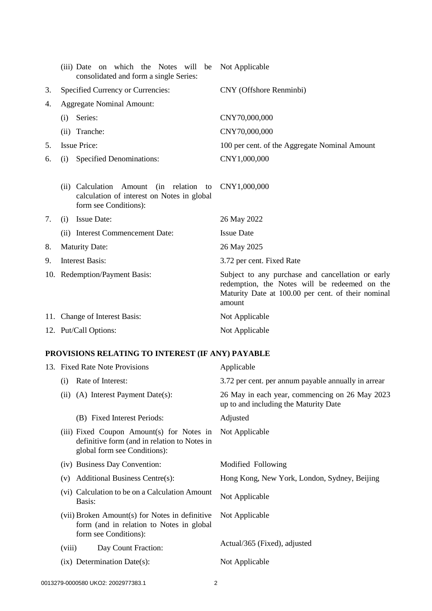|    | (iii) Date on which the Notes will be<br>consolidated and form a single Series:                                   | Not Applicable                                                                                                                                                     |
|----|-------------------------------------------------------------------------------------------------------------------|--------------------------------------------------------------------------------------------------------------------------------------------------------------------|
| 3. | Specified Currency or Currencies:                                                                                 | CNY (Offshore Renminbi)                                                                                                                                            |
| 4. | <b>Aggregate Nominal Amount:</b>                                                                                  |                                                                                                                                                                    |
|    | Series:<br>(i)                                                                                                    | CNY70,000,000                                                                                                                                                      |
|    | (ii) Tranche:                                                                                                     | CNY70,000,000                                                                                                                                                      |
| 5. | <b>Issue Price:</b>                                                                                               | 100 per cent. of the Aggregate Nominal Amount                                                                                                                      |
| 6. | <b>Specified Denominations:</b><br>(i)                                                                            | CNY1,000,000                                                                                                                                                       |
|    | (in relation to<br>(ii) Calculation Amount<br>calculation of interest on Notes in global<br>form see Conditions): | CNY1,000,000                                                                                                                                                       |
| 7. | <b>Issue Date:</b><br>(i)                                                                                         | 26 May 2022                                                                                                                                                        |
|    | (ii) Interest Commencement Date:                                                                                  | <b>Issue Date</b>                                                                                                                                                  |
| 8. | <b>Maturity Date:</b>                                                                                             | 26 May 2025                                                                                                                                                        |
| 9. | <b>Interest Basis:</b>                                                                                            | 3.72 per cent. Fixed Rate                                                                                                                                          |
|    | 10. Redemption/Payment Basis:                                                                                     | Subject to any purchase and cancellation or early<br>redemption, the Notes will be redeemed on the<br>Maturity Date at 100.00 per cent. of their nominal<br>amount |
|    | 11. Change of Interest Basis:                                                                                     | Not Applicable                                                                                                                                                     |
|    | 12. Put/Call Options:                                                                                             | Not Applicable                                                                                                                                                     |
|    |                                                                                                                   |                                                                                                                                                                    |

# **PROVISIONS RELATING TO INTEREST (IF ANY) PAYABLE**

|        | 13. Fixed Rate Note Provisions                                                                                            | Applicable                                                                              |
|--------|---------------------------------------------------------------------------------------------------------------------------|-----------------------------------------------------------------------------------------|
| (i)    | Rate of Interest:                                                                                                         | 3.72 per cent. per annum payable annually in arrear                                     |
| (ii)   | (A) Interest Payment Date(s):                                                                                             | 26 May in each year, commencing on 26 May 2023<br>up to and including the Maturity Date |
|        | (B) Fixed Interest Periods:                                                                                               | Adjusted                                                                                |
|        | (iii) Fixed Coupon Amount(s) for Notes in<br>definitive form (and in relation to Notes in<br>global form see Conditions): | Not Applicable                                                                          |
|        | (iv) Business Day Convention:                                                                                             | Modified Following                                                                      |
| (v)    | Additional Business Centre(s):                                                                                            | Hong Kong, New York, London, Sydney, Beijing                                            |
|        | (vi) Calculation to be on a Calculation Amount<br>Basis:                                                                  | Not Applicable                                                                          |
|        | (vii) Broken Amount(s) for Notes in definitive<br>form (and in relation to Notes in global<br>form see Conditions):       | Not Applicable                                                                          |
| (viii) | Day Count Fraction:                                                                                                       | Actual/365 (Fixed), adjusted                                                            |
|        | $(ix)$ Determination Date $(s)$ :                                                                                         | Not Applicable                                                                          |
|        |                                                                                                                           |                                                                                         |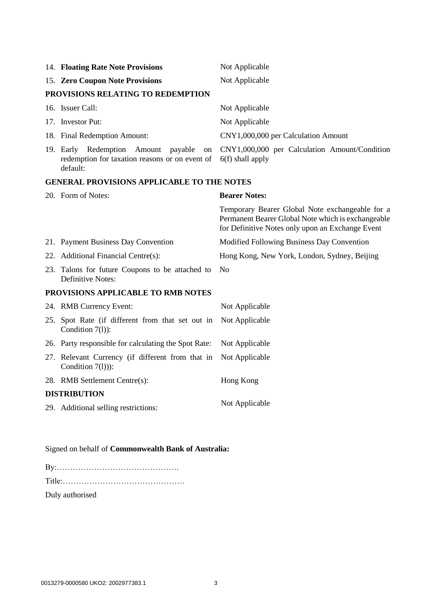|                                                   | 14. Floating Rate Note Provisions                                                                             | Not Applicable                                                                                                                                            |  |
|---------------------------------------------------|---------------------------------------------------------------------------------------------------------------|-----------------------------------------------------------------------------------------------------------------------------------------------------------|--|
|                                                   | 15. Zero Coupon Note Provisions                                                                               | Not Applicable                                                                                                                                            |  |
|                                                   | PROVISIONS RELATING TO REDEMPTION                                                                             |                                                                                                                                                           |  |
|                                                   | 16. Issuer Call:                                                                                              | Not Applicable                                                                                                                                            |  |
|                                                   | 17. Investor Put:                                                                                             | Not Applicable                                                                                                                                            |  |
|                                                   | 18. Final Redemption Amount:                                                                                  | CNY1,000,000 per Calculation Amount                                                                                                                       |  |
|                                                   | 19. Early Redemption<br>Amount<br>payable<br>on<br>redemption for taxation reasons or on event of<br>default: | CNY1,000,000 per Calculation Amount/Condition<br>$6(f)$ shall apply                                                                                       |  |
| <b>GENERAL PROVISIONS APPLICABLE TO THE NOTES</b> |                                                                                                               |                                                                                                                                                           |  |
|                                                   | 20. Form of Notes:                                                                                            | <b>Bearer Notes:</b>                                                                                                                                      |  |
|                                                   |                                                                                                               | Temporary Bearer Global Note exchangeable for a<br>Permanent Bearer Global Note which is exchangeable<br>for Definitive Notes only upon an Exchange Event |  |
|                                                   | 21. Payment Business Day Convention                                                                           | Modified Following Business Day Convention                                                                                                                |  |
|                                                   | 22. Additional Financial Centre(s):                                                                           | Hong Kong, New York, London, Sydney, Beijing                                                                                                              |  |
|                                                   | 23. Talons for future Coupons to be attached to<br>Definitive Notes:                                          | No                                                                                                                                                        |  |
| PROVISIONS APPLICABLE TO RMB NOTES                |                                                                                                               |                                                                                                                                                           |  |
|                                                   | 24. RMB Currency Event:                                                                                       | Not Applicable                                                                                                                                            |  |
|                                                   | 25. Spot Rate (if different from that set out in<br>Condition 7(1)):                                          | Not Applicable                                                                                                                                            |  |
|                                                   | 26. Party responsible for calculating the Spot Rate:                                                          | Not Applicable                                                                                                                                            |  |
|                                                   | 27. Relevant Currency (if different from that in<br>Condition $7(l)$ ):                                       | Not Applicable                                                                                                                                            |  |
|                                                   | 28. RMB Settlement Centre(s):                                                                                 | Hong Kong                                                                                                                                                 |  |
|                                                   |                                                                                                               |                                                                                                                                                           |  |

## **DISTRIBUTION**

29. Additional selling restrictions: Not Applicable

# Signed on behalf of **Commonwealth Bank of Australia:**

| Duly authorised |  |
|-----------------|--|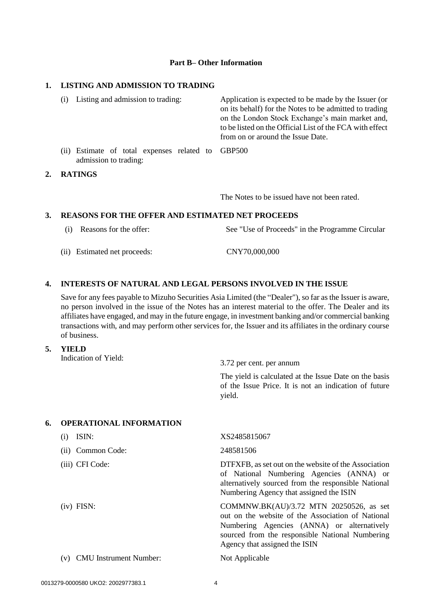#### **Part B– Other Information**

#### **1. LISTING AND ADMISSION TO TRADING**

|    | (i) | Listing and admission to trading:                                          | Application is expected to be made by the Issuer (or<br>on its behalf) for the Notes to be admitted to trading<br>on the London Stock Exchange's main market and,<br>to be listed on the Official List of the FCA with effect<br>from on or around the Issue Date. |
|----|-----|----------------------------------------------------------------------------|--------------------------------------------------------------------------------------------------------------------------------------------------------------------------------------------------------------------------------------------------------------------|
|    |     | (ii) Estimate of total expenses related to GBP500<br>admission to trading: |                                                                                                                                                                                                                                                                    |
| 2. |     | <b>RATINGS</b>                                                             |                                                                                                                                                                                                                                                                    |

The Notes to be issued have not been rated.

#### **3. REASONS FOR THE OFFER AND ESTIMATED NET PROCEEDS**

- (i) Reasons for the offer: See "Use of Proceeds" in the Programme Circular
- (ii) Estimated net proceeds: CNY70,000,000

### **4. INTERESTS OF NATURAL AND LEGAL PERSONS INVOLVED IN THE ISSUE**

Save for any fees payable to Mizuho Securities Asia Limited (the "Dealer"), so far as the Issuer is aware, no person involved in the issue of the Notes has an interest material to the offer. The Dealer and its affiliates have engaged, and may in the future engage, in investment banking and/or commercial banking transactions with, and may perform other services for, the Issuer and its affiliates in the ordinary course of business.

#### **5. YIELD**

Indication of Yield:  $3.72$  per cent. per annum

The yield is calculated at the Issue Date on the basis of the Issue Price. It is not an indication of future yield.

#### **6. OPERATIONAL INFORMATION**

| ISIN:<br>(i)                         | XS2485815067                                                                                                                                                                                                                   |
|--------------------------------------|--------------------------------------------------------------------------------------------------------------------------------------------------------------------------------------------------------------------------------|
| (ii) Common Code:                    | 248581506                                                                                                                                                                                                                      |
| (iii) CFI Code:                      | DTFXFB, as set out on the website of the Association<br>of National Numbering Agencies (ANNA) or<br>alternatively sourced from the responsible National<br>Numbering Agency that assigned the ISIN                             |
| $(iv)$ FISN:                         | COMMNW.BK(AU)/3.72 MTN 20250526, as set<br>out on the website of the Association of National<br>Numbering Agencies (ANNA) or alternatively<br>sourced from the responsible National Numbering<br>Agency that assigned the ISIN |
| <b>CMU</b> Instrument Number:<br>(v) | Not Applicable                                                                                                                                                                                                                 |